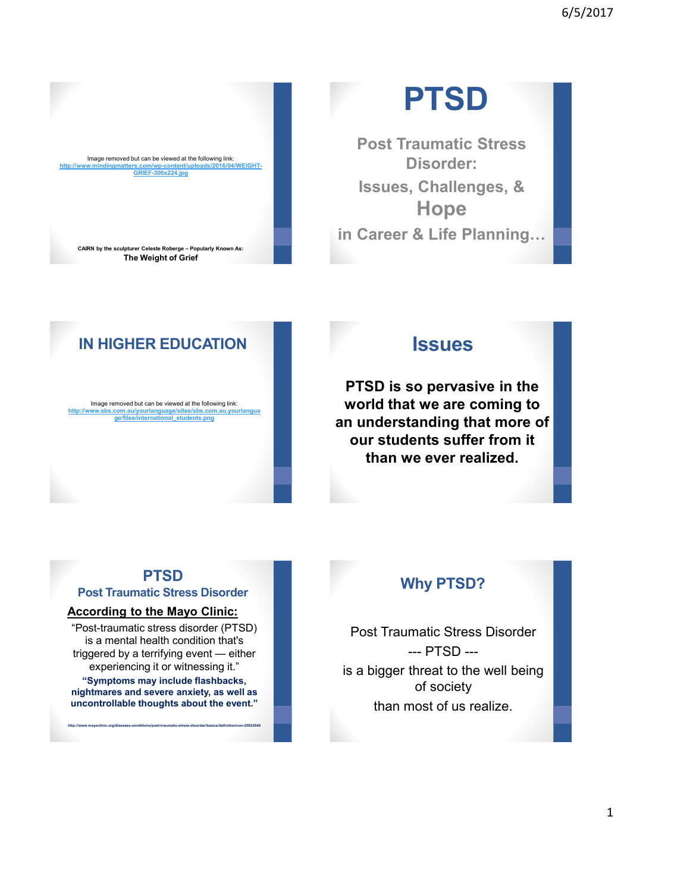

# **PTSD**

**Post Traumatic Stress Disorder: Issues, Challenges, & Hope in Career & Life Planning…**

### **IN HIGHER EDUCATION**

Image removed but can be viewed at the following link: w.sbs.com.au/yourlanguage/sites/sbs.com.au.yo **ge/files/international\_students.png**

#### **Issues**

**PTSD is so pervasive in the world that we are coming to an understanding that more of our students suffer from it than we ever realized.** 

#### **PTSD**

**Post Traumatic Stress Disorder**

#### **According to the Mayo Clinic:**

"Post-traumatic stress disorder (PTSD) is a mental health condition that's triggered by a terrifying event — either experiencing it or witnessing it."

**"Symptoms may include flashbacks, nightmares and severe anxiety, as well as uncontrollable thoughts about the event."**

**http://www.mayoclinic.org/diseases-conditions/post-traumatic-stress-disorder/basics/definition/con-20022540**

#### **Why PTSD?**

Post Traumatic Stress Disorder --- PTSD -- is a bigger threat to the well being of society than most of us realize.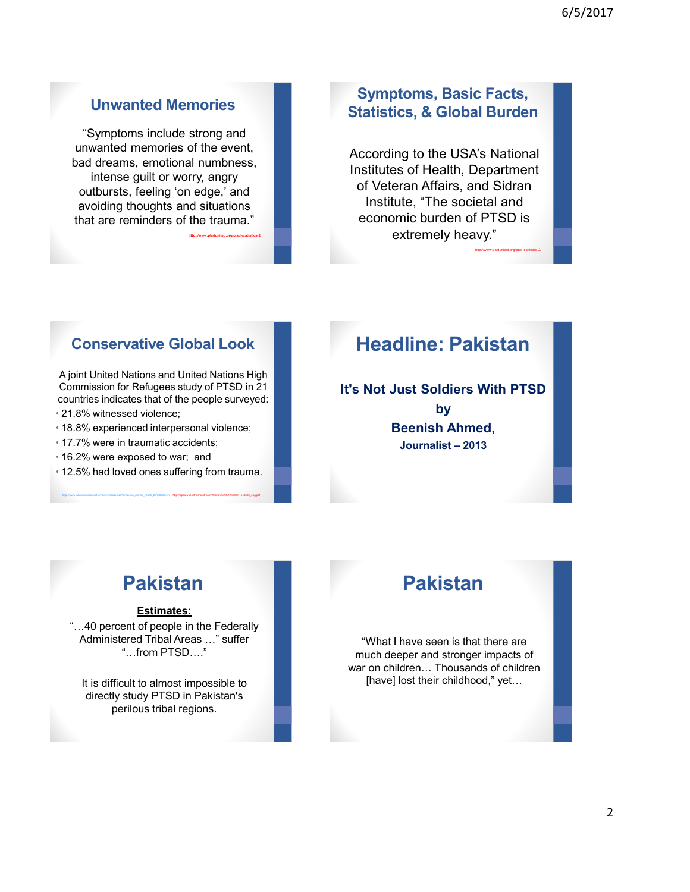#### **Unwanted Memories**

"Symptoms include strong and unwanted memories of the event, bad dreams, emotional numbness, intense guilt or worry, angry outbursts, feeling 'on edge,' and avoiding thoughts and situations that are reminders of the trauma."

**http://www.ptsdunited.org/ptsd-statistics-2/**

#### **Symptoms, Basic Facts, Statistics, & Global Burden**

According to the USA's National Institutes of Health, Department of Veteran Affairs, and Sidran Institute, "The societal and economic burden of PTSD is extremely heavy."

http://www.ptsdunited.org/ptsd-statistics-2/

#### **Conservative Global Look**

A joint United Nations and United Nations High Commission for Refugees study of PTSD in 21 countries indicates that of the people surveyed:

- 21.8% witnessed violence;
- 18.8% experienced interpersonal violence;
- 17.7% were in traumatic accidents;
- 16.2% were exposed to war; and
- 12.5% had loved ones suffering from trauma.

http://www.who.int/mediacentre/news/releases/2013/trauma\_mental\_health\_20130806/en/ http://apps.who.int/iris/bitstream/10665/76796/1/9789241548533\_eng.pdf

### **Headline: Pakistan**

**It's Not Just Soldiers With PTSD by Beenish Ahmed, Journalist – 2013**

### **Pakistan**

#### **Estimates:**

"…40 percent of people in the Federally Administered Tribal Areas …" suffer "…from PTSD…."

It is difficult to almost impossible to directly study PTSD in Pakistan's perilous tribal regions.

### **Pakistan**

"What I have seen is that there are much deeper and stronger impacts of war on children… Thousands of children [have] lost their childhood," yet…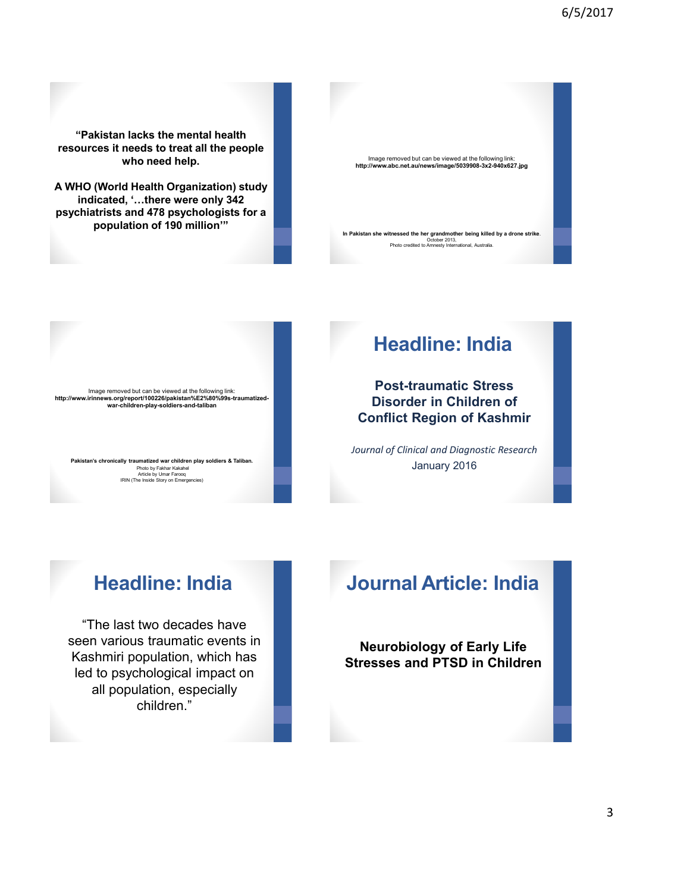**"Pakistan lacks the mental health resources it needs to treat all the people who need help.** 

**A WHO (World Health Organization) study indicated, '…there were only 342 psychiatrists and 478 psychologists for a population of 190 million'"**



Image removed but can be viewed at the following link: **http://www.irinnews.org/report/100226/pakistan%E2%80%99s-traumatizedwar-children-play-soldiers-and-taliban**

**Pakistan's chronically traumatized war children play soldiers & Taliban.**  Photo by Fakhar Kakahel Article by Umar Farooq IRIN (The Inside Story on Emergencies)

### **Headline: India**

**Post-traumatic Stress Disorder in Children of Conflict Region of Kashmir**

*Journal of Clinical and Diagnostic Research* January 2016

### **Headline: India**

"The last two decades have seen various traumatic events in Kashmiri population, which has led to psychological impact on all population, especially children."

### **Journal Article: India**

**Neurobiology of Early Life Stresses and PTSD in Children**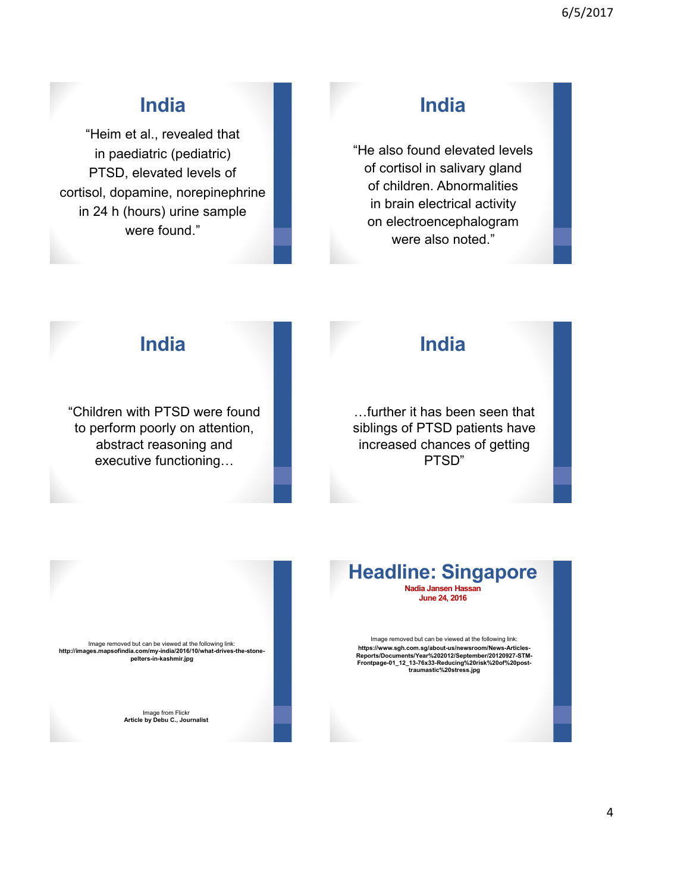### **India**

"Heim et al., revealed that in paediatric (pediatric) PTSD, elevated levels of cortisol, dopamine, norepinephrine in 24 h (hours) urine sample were found."

### **India**

"He also found elevated levels of cortisol in salivary gland of children. Abnormalities in brain electrical activity on electroencephalogram were also noted."

### **India**

"Children with PTSD were found to perform poorly on attention, abstract reasoning and executive functioning…

### **India**

…further it has been seen that siblings of PTSD patients have increased chances of getting PTSD"

Image removed but can be viewed at the following link:

Image from Flickr **Article by Debu C., Journalist**

**http://images.mapsofindia.com/my-india/2016/10/what-drives-the-stone-pelters-in-kashmir.jpg**

#### **Headline: Singapore Nadia Jansen Hassan June 24, 2016**

Image removed but can be viewed at the following link: **https://www.sgh.com.sg/about-us/newsroom/News-Articles-Reports/Documents/Year%202012/September/20120927-STM-Frontpage-01\_12\_13-76x33-Reducing%20risk%20of%20post-traumastic%20stress.jpg**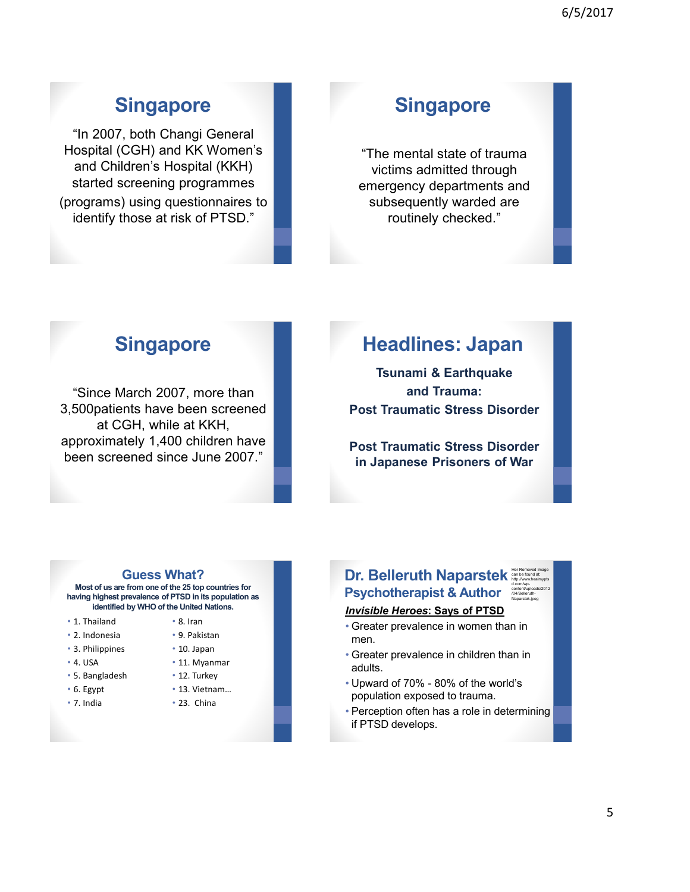### **Singapore**

"In 2007, both Changi General Hospital (CGH) and KK Women's and Children's Hospital (KKH) started screening programmes (programs) using questionnaires to identify those at risk of PTSD."

### **Singapore**

"The mental state of trauma victims admitted through emergency departments and subsequently warded are routinely checked."

### **Singapore**

"Since March 2007, more than 3,500patients have been screened at CGH, while at KKH, approximately 1,400 children have been screened since June 2007."

### **Headlines: Japan**

**Tsunami & Earthquake and Trauma: Post Traumatic Stress Disorder**

**Post Traumatic Stress Disorder in Japanese Prisoners of War**

#### **Guess What?**

**Most of us are from one of the 25 top countries for having highest prevalence of PTSD in its population as identified by WHO of the United Nations.**

- 1. Thailand
- 2. Indonesia
- 3. Philippines
- 4. USA
- 5. Bangladesh
- 6. Egypt
- 7. India
- 8. Iran
- 9. Pakistan • 10. Japan
	-
- 11. Myanmar
- 12. Turkey
- 13. Vietnam…
- 23. China

#### **Dr. Belleruth Naparstek Psychotherapist & Author** Her Removed Image can be found at: http://www.healmypts d.com/wpcontent/uploads/2012 /04/Belleruth-Naparstek.jpeg

*Invisible Heroes***: Says of PTSD**

- Greater prevalence in women than in men.
- Greater prevalence in children than in adults.
- Upward of 70% 80% of the world's population exposed to trauma.
- Perception often has a role in determining if PTSD develops.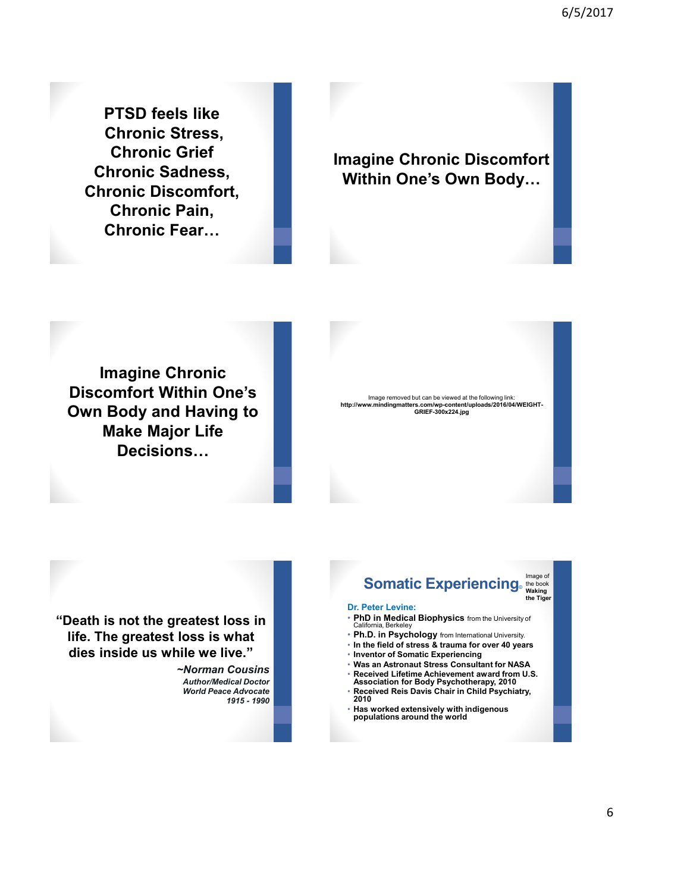6/5/2017

**PTSD feels like Chronic Stress, Chronic Grief Chronic Sadness, Chronic Discomfort, Chronic Pain, Chronic Fear…**

#### **Imagine Chronic Discomfort Within One's Own Body…**

**Imagine Chronic Discomfort Within One's Own Body and Having to Make Major Life Decisions…**

Image removed but can be viewed at the following link: **http://www.mindingmatters.com/wp-content/uploads/2016/04/WEIGHT-GRIEF-300x224.jpg** 

**"Death is not the greatest loss in life. The greatest loss is what dies inside us while we live."**

> *~Norman Cousins Author/Medical Doctor World Peace Advocate 1915 - 1990*

### **Somatic Experiencing**<sub>®</sub> the book

**the Tiger**

#### **Dr. Peter Levine:**

- **PhD in Medical Biophysics** from the University of California, Berkele
- **Ph.D. in Psychology** from International University.
- **In the field of stress & trauma for over 40 years**
- **Inventor of Somatic Experiencing**
- **Was an Astronaut Stress Consultant for NASA** • **Received Lifetime Achievement award from U.S.**
- **Association for Body Psychotherapy, 2010** • **Received Reis Davis Chair in Child Psychiatry, 2010**
- **Has worked extensively with indigenous populations around the world**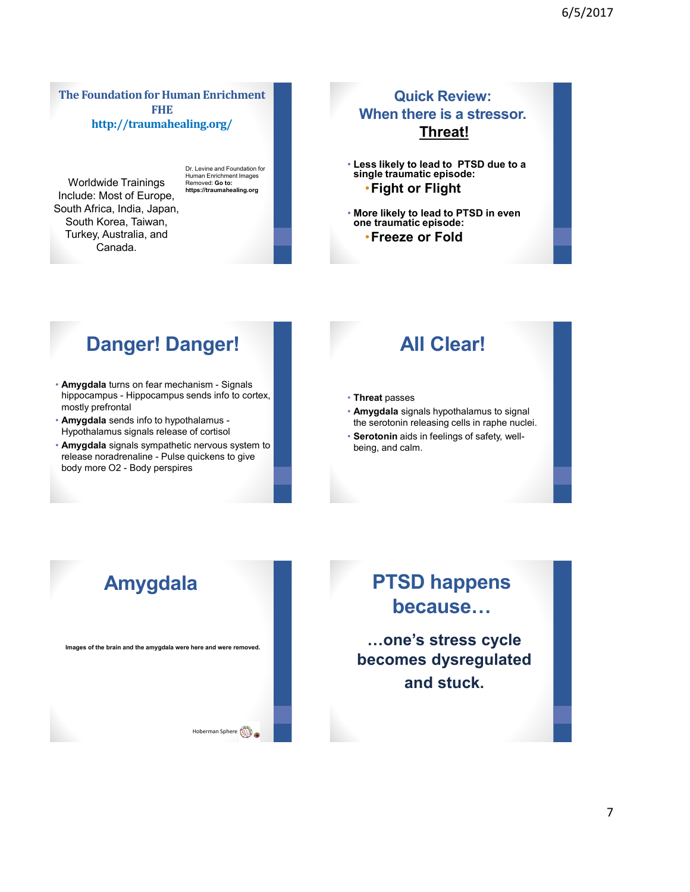**The Foundation for Human Enrichment FHE http://traumahealing.org/**

Worldwide Trainings Include: Most of Europe, South Africa, India, Japan, South Korea, Taiwan, Turkey, Australia, and Canada.

Dr. Levine and Foundation for Human Enrichment Images Removed: **Go to:** 

**https://traumahealing.org**

• **More likely to lead to PTSD in even one traumatic episode:** •**Freeze or Fold**

**single traumatic episode:**  •**Fight or Flight**

**Quick Review: When there is a stressor. Threat!**

• **Less likely to lead to PTSD due to a** 

### **Danger! Danger!**

- **Amygdala** turns on fear mechanism Signals hippocampus - Hippocampus sends info to cortex, mostly prefrontal
- **Amygdala** sends info to hypothalamus Hypothalamus signals release of cortisol
- **Amygdala** signals sympathetic nervous system to release noradrenaline - Pulse quickens to give body more O2 - Body perspires

### **All Clear!**

- **Threat** passes
- **Amygdala** signals hypothalamus to signal the serotonin releasing cells in raphe nuclei.
- **Serotonin** aids in feelings of safety, wellbeing, and calm.



### **PTSD happens because…**

**…one's stress cycle becomes dysregulated and stuck.**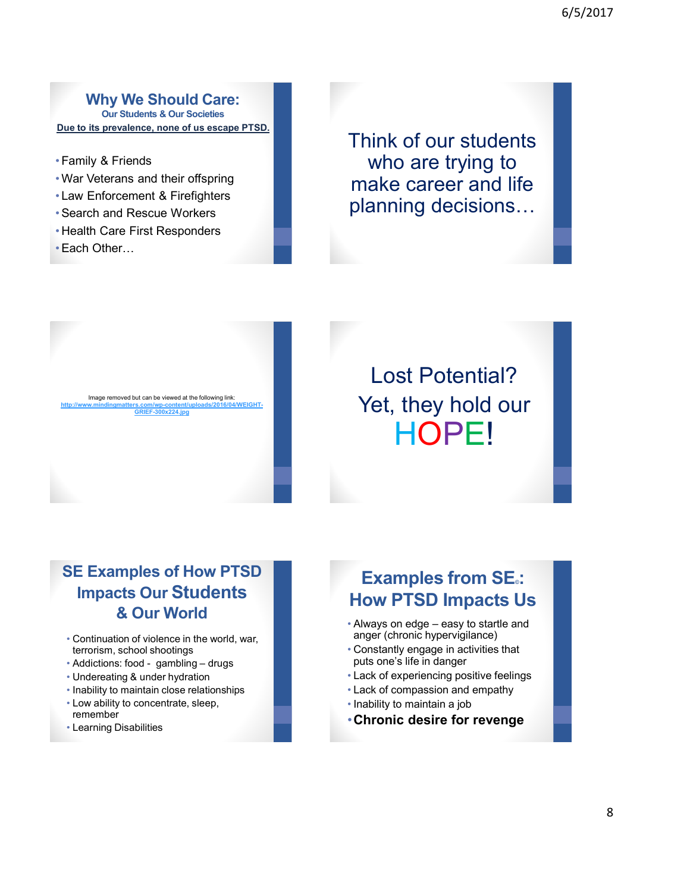6/5/2017

**Why We Should Care: Our Students & Our Societies Due to its prevalence, none of us escape PTSD.**

- Family & Friends
- •War Veterans and their offspring
- Law Enforcement & Firefighters
- •Search and Rescue Workers
- Health Care First Responders
- •Each Other…

Think of our students who are trying to make career and life planning decisions…



Lost Potential? Yet, they hold our HOPE!

### **SE Examples of How PTSD Impacts Our Students & Our World**

- Continuation of violence in the world, war, terrorism, school shootings
- Addictions: food gambling drugs
- Undereating & under hydration
- Inability to maintain close relationships
- Low ability to concentrate, sleep, remember
- Learning Disabilities

### **Examples from SE**<sup>2</sup>: **How PTSD Impacts Us**

- Always on edge easy to startle and anger (chronic hypervigilance)
- Constantly engage in activities that puts one's life in danger
- Lack of experiencing positive feelings
- Lack of compassion and empathy
- Inability to maintain a job
- •**Chronic desire for revenge**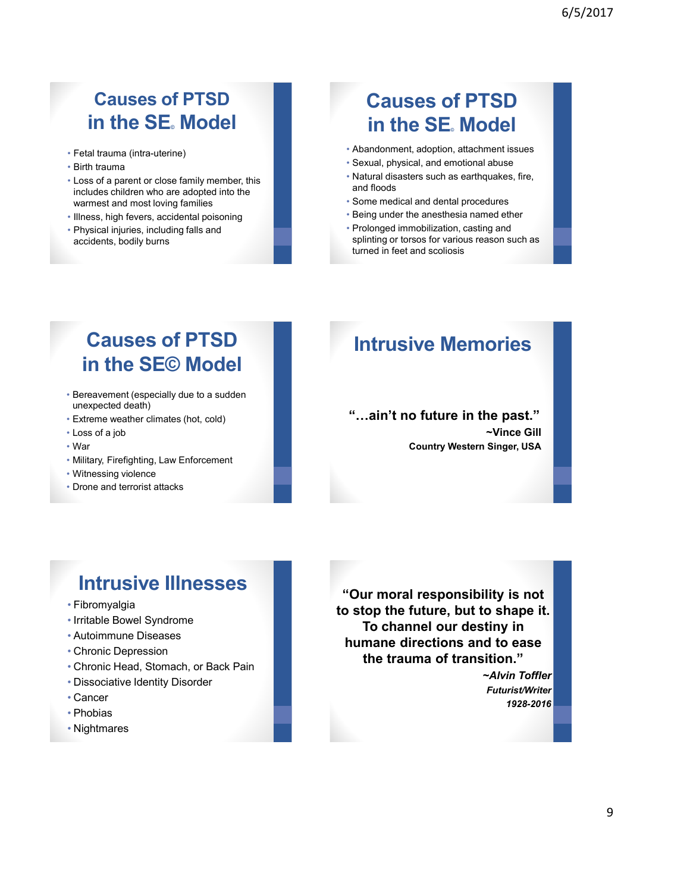### **Causes of PTSD in the SE** Model

- Fetal trauma (intra-uterine)
- Birth trauma
- Loss of a parent or close family member, this includes children who are adopted into the warmest and most loving families
- Illness, high fevers, accidental poisoning
- Physical injuries, including falls and accidents, bodily burns

### **Causes of PTSD in the SE** Model

- Abandonment, adoption, attachment issues
- Sexual, physical, and emotional abuse
- Natural disasters such as earthquakes, fire, and floods
- Some medical and dental procedures
- Being under the anesthesia named ether
- Prolonged immobilization, casting and splinting or torsos for various reason such as turned in feet and scoliosis

### **Causes of PTSD in the SE© Model**

- Bereavement (especially due to a sudden unexpected death)
- Extreme weather climates (hot, cold)
- Loss of a job
- War
- Military, Firefighting, Law Enforcement
- Witnessing violence
- Drone and terrorist attacks

### **Intrusive Memories**

**"…ain't no future in the past." ~Vince Gill Country Western Singer, USA**

### **Intrusive Illnesses**

- Fibromyalgia
- Irritable Bowel Syndrome
- Autoimmune Diseases
- Chronic Depression
- Chronic Head, Stomach, or Back Pain
- Dissociative Identity Disorder
- Cancer
- Phobias
- Nightmares

**"Our moral responsibility is not to stop the future, but to shape it. To channel our destiny in humane directions and to ease the trauma of transition."** 

> *~Alvin Toffler Futurist/Writer 1928-2016*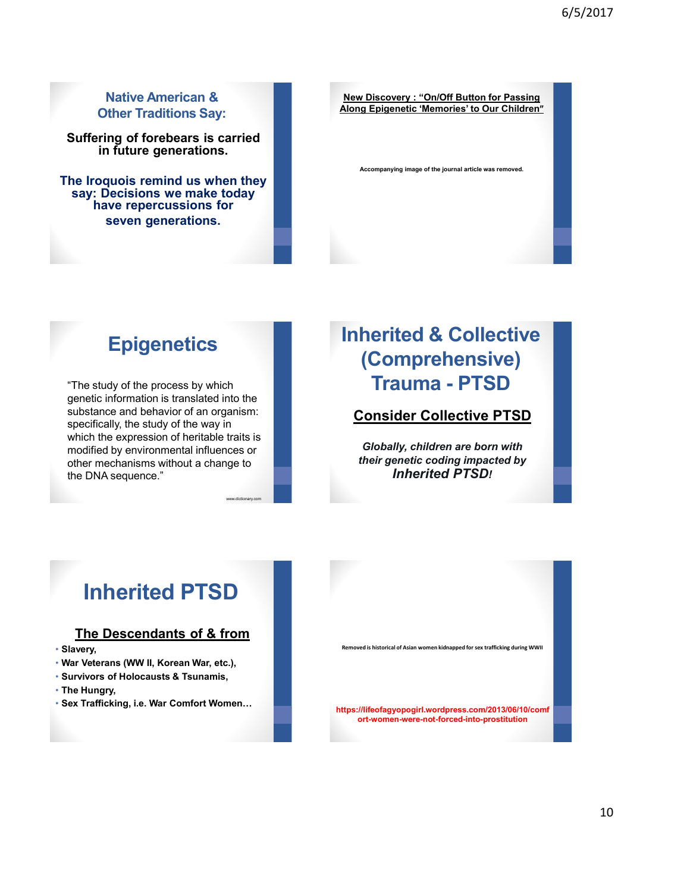#### **Native American & Other Traditions Say:**

**Suffering of forebears is carried in future generations.**

**The Iroquois remind us when they say: Decisions we make today have repercussions for seven generations.**

**New Discovery : "On/Off Button for Passing Along Epigenetic 'Memories' to Our Children"** 

**Accompanying image of the journal article was removed.**

### **Epigenetics**

"The study of the process by which genetic information is translated into the substance and behavior of an organism: specifically, the study of the way in which the expression of heritable traits is modified by environmental influences or other mechanisms without a change to the DNA sequence."

www.dictionary.com

### **Inherited & Collective (Comprehensive) Trauma - PTSD**

**Consider Collective PTSD** 

*Globally, children are born with their genetic coding impacted by Inherited PTSD!*

## **Inherited PTSD**

#### **The Descendants of & from**

- **Slavery,**
- **War Veterans (WW II, Korean War, etc.),**
- **Survivors of Holocausts & Tsunamis,**
- **The Hungry,**
- 

![](_page_9_Picture_18.jpeg)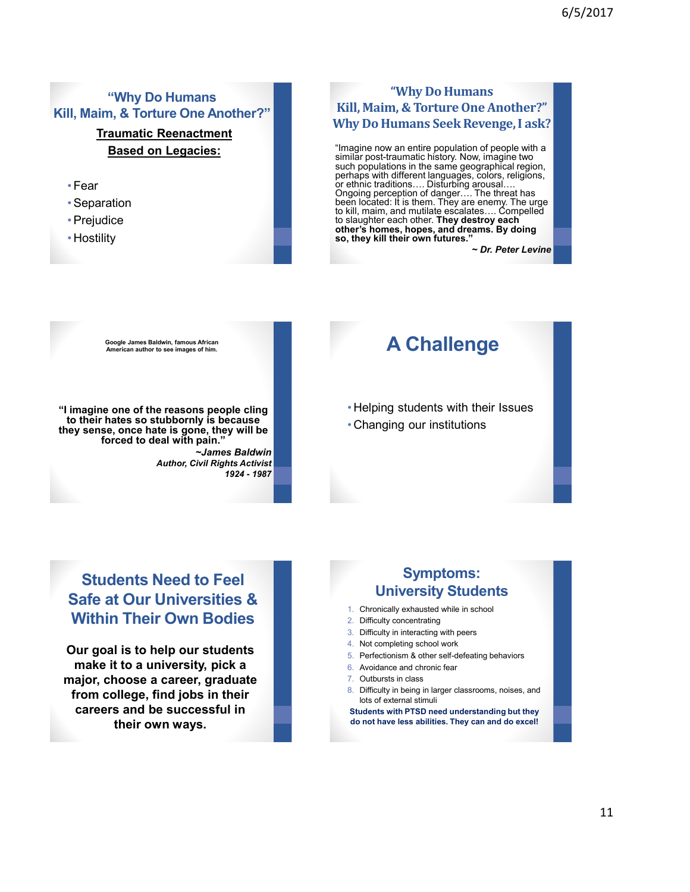### **"Why Do Humans Kill, Maim, & Torture One Another?"**

#### **Traumatic Reenactment Based on Legacies:**

- Fear
- •Separation
- •Prejudice
- Hostility

#### **"Why Do Humans Kill, Maim, & Torture One Another?" Why Do Humans Seek Revenge, I ask?**

"Imagine now an entire population of people with a similar post-traumatic history. Now, imagine two such populations in the same geographical region, perhaps with different languages, colors, religions, or ethnic traditions…. Disturbing arousal…. Ongoing perception of danger…. The threat has been located: It is them. They are enemy. The urge to kill, maim, and mutilate escalates…. Compelled to slaughter each other. **They destroy each other's homes, hopes, and dreams. By doing so, they kill their own futures."** 

*~ Dr. Peter Levine*

**Google James Baldwin, famous African** 

**"I imagine one of the reasons people cling to their hates so stubbornly is because they sense, once hate is gone, they will be forced to deal with pain."**

> *~James Baldwin Author, Civil Rights Activist 1924 - 1987*

### **American author to see images of him. A Challenge**

• Helping students with their Issues

• Changing our institutions

### **Students Need to Feel Safe at Our Universities & Within Their Own Bodies**

**Our goal is to help our students make it to a university, pick a major, choose a career, graduate from college, find jobs in their careers and be successful in their own ways.**

#### **Symptoms: University Students**

- 1. Chronically exhausted while in school
- 2. Difficulty concentrating
- 3. Difficulty in interacting with peers
- 4. Not completing school work
- 5. Perfectionism & other self-defeating behaviors
- 6. Avoidance and chronic fear
- 7. Outbursts in class
- 8. Difficulty in being in larger classrooms, noises, and lots of external stimuli

**Students with PTSD need understanding but they do not have less abilities. They can and do excel!**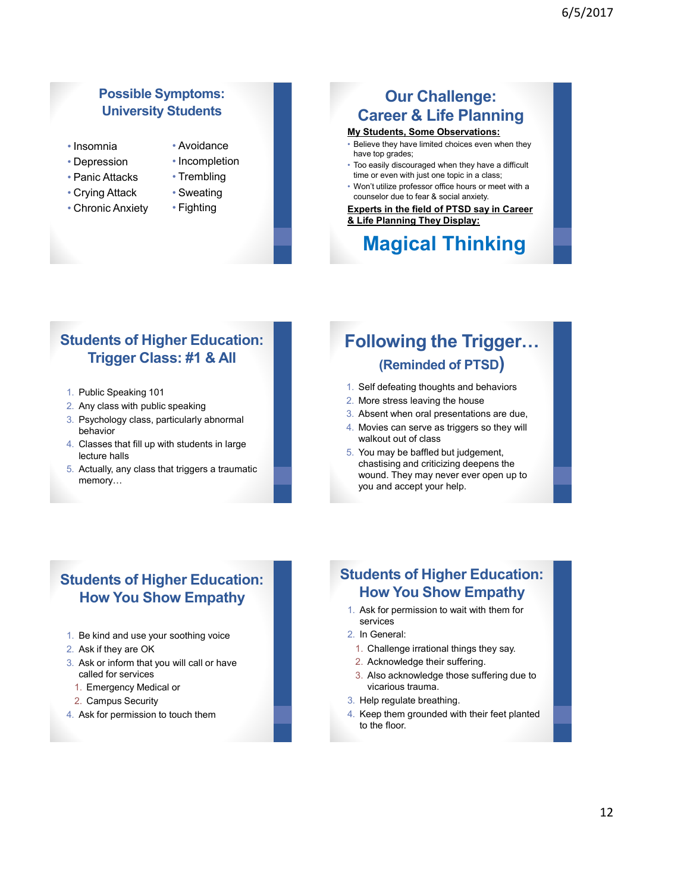#### **Possible Symptoms: University Students**

- Insomnia • Depression
- Avoidance
- Incompletion • Trembling
- Panic Attacks

• Chronic Anxiety

- Crying Attack
- Sweating
- Fighting

### **Our Challenge: Career & Life Planning**

#### **My Students, Some Observations:**

- Believe they have limited choices even when they have top grades;
- Too easily discouraged when they have a difficult time or even with just one topic in a class;
- Won't utilize professor office hours or meet with a counselor due to fear & social anxiety.

#### **Experts in the field of PTSD say in Career & Life Planning They Display:**

### **Magical Thinking**

#### **Students of Higher Education: Trigger Class: #1 & All**

- 1. Public Speaking 101
- 2. Any class with public speaking
- 3. Psychology class, particularly abnormal behavior
- 4. Classes that fill up with students in large lecture halls
- 5. Actually, any class that triggers a traumatic memory…

### **Following the Trigger… (Reminded of PTSD)**

- 1. Self defeating thoughts and behaviors
- 2. More stress leaving the house
- 3. Absent when oral presentations are due,
- 4. Movies can serve as triggers so they will walkout out of class
- 5. You may be baffled but judgement, chastising and criticizing deepens the wound. They may never ever open up to you and accept your help.

### **Students of Higher Education: How You Show Empathy**

- 1. Be kind and use your soothing voice
- 2. Ask if they are OK
- 3. Ask or inform that you will call or have called for services
	- 1. Emergency Medical or
	- 2. Campus Security
- 4. Ask for permission to touch them

#### **Students of Higher Education: How You Show Empathy**

- 1. Ask for permission to wait with them for services
- 2. In General:
	- 1. Challenge irrational things they say.
- 2. Acknowledge their suffering.
- 3. Also acknowledge those suffering due to vicarious trauma.
- 3. Help regulate breathing.
- 4. Keep them grounded with their feet planted to the floor.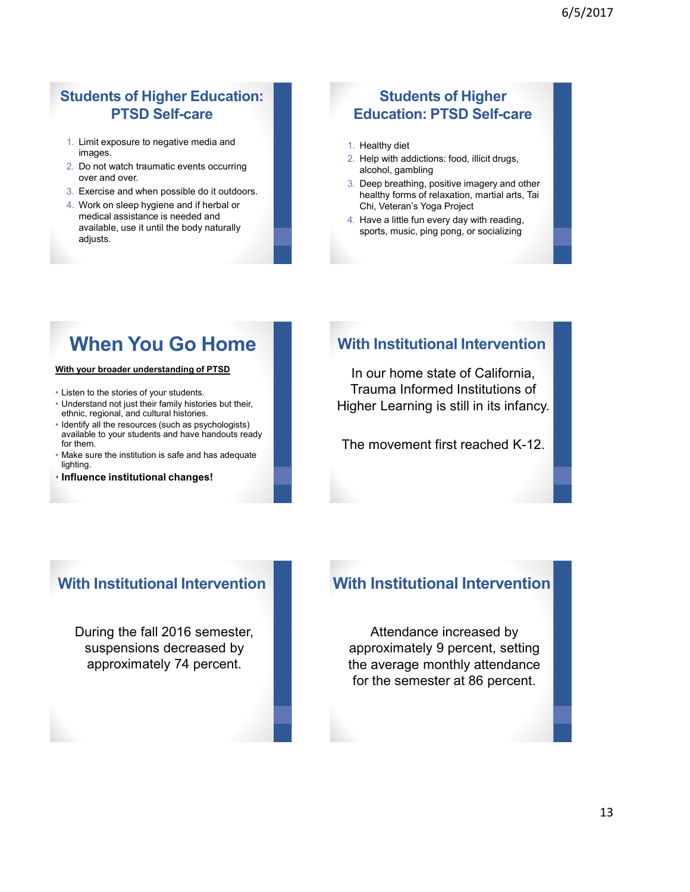#### **Students of Higher Education: PTSD Self-care**

- 1. Limit exposure to negative media and images.
- 2. Do not watch traumatic events occurring over and over.
- 3. Exercise and when possible do it outdoors.
- 4. Work on sleep hygiene and if herbal or medical assistance is needed and available, use it until the body naturally adjusts.

#### **Students of Higher Education: PTSD Self-care**

- 1. Healthy diet
- 2. Help with addictions: food, illicit drugs, alcohol, gambling
- 3. Deep breathing, positive imagery and other healthy forms of relaxation, martial arts, Tai Chi, Veteran's Yoga Project
- 4. Have a little fun every day with reading, sports, music, ping pong, or socializing

### **When You Go Home**

**With your broader understanding of PTSD**

- Listen to the stories of your students.
- Understand not just their family histories but their, ethnic, regional, and cultural histories.
- Identify all the resources (such as psychologists) available to your students and have handouts ready for them.
- Make sure the institution is safe and has adequate lighting.
- **Influence institutional changes!**

#### **With Institutional Intervention**

In our home state of California, Trauma Informed Institutions of Higher Learning is still in its infancy.

The movement first reached K-12.

### **With Institutional Intervention**

During the fall 2016 semester, suspensions decreased by approximately 74 percent.

#### **With Institutional Intervention**

Attendance increased by approximately 9 percent, setting the average monthly attendance for the semester at 86 percent.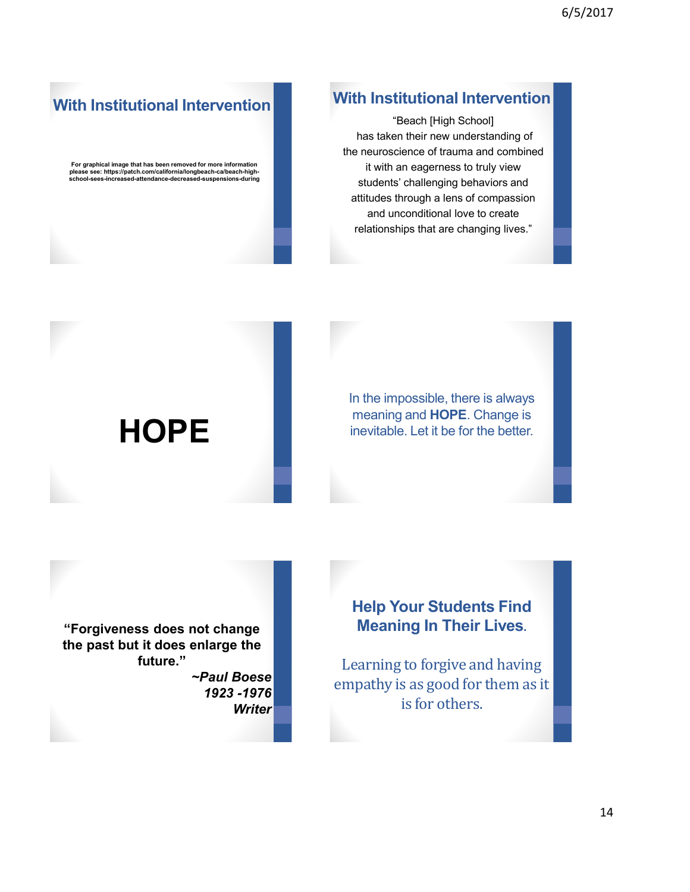### **With Institutional Intervention**

"Beach [High School] has taken their new understanding of the neuroscience of trauma and combined it with an eagerness to truly view students' challenging behaviors and attitudes through a lens of compassion and unconditional love to create relationships that are changing lives."

### **With Institutional Intervention**

**For graphical image that has been removed for more information please see: https://patch.com/california/longbeach-ca/beach-highschool-sees-increased-attendance-decreased-suspensions-during**

> In the impossible, there is always meaning and **HOPE**. Change is inevitable. Let it be for the better.

# **HOPE**

**"Forgiveness does not change the past but it does enlarge the future."** 

*~Paul Boese 1923 -1976 Writer* 

### **Help Your Students Find Meaning In Their Lives**.

Learning to forgive and having empathy is as good for them as it is for others.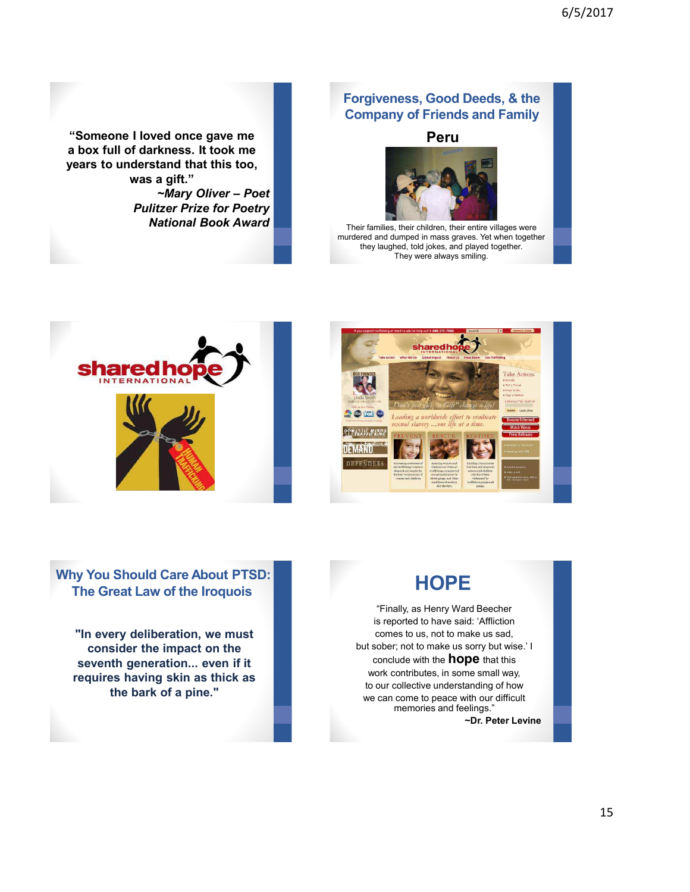**"Someone I loved once gave me a box full of darkness. It took me years to understand that this too, was a gift."**  *~Mary Oliver – Poet Pulitzer Prize for Poetry National Book Award* 

#### **Forgiveness, Good Deeds, & the Company of Friends and Family**

#### **Peru**

![](_page_14_Picture_4.jpeg)

Their families, their children, their entire villages were murdered and dumped in mass graves. Yet when together they laughed, told jokes, and played together. They were always smiling.

![](_page_14_Picture_6.jpeg)

![](_page_14_Picture_7.jpeg)

#### **Why You Should Care About PTSD: The Great Law of the Iroquois**

**"In every deliberation, we must consider the impact on the seventh generation... even if it requires having skin as thick as the bark of a pine."** 

![](_page_14_Picture_10.jpeg)

"Finally, as Henry Ward Beecher is reported to have said: 'Affliction comes to us, not to make us sad, but sober; not to make us sorry but wise.' I conclude with the **hope** that this work contributes, in some small way, to our collective understanding of how we can come to peace with our difficult memories and feelings."

**~Dr. Peter Levine**